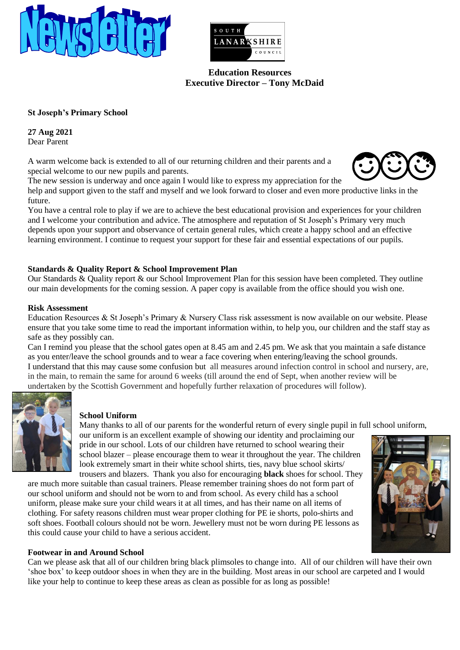



 **Education Resources Executive Director – Tony McDaid**

# **St Joseph's Primary School**

**27 Aug 2021** Dear Parent

A warm welcome back is extended to all of our returning children and their parents and a special welcome to our new pupils and parents.

The new session is underway and once again I would like to express my appreciation for the

help and support given to the staff and myself and we look forward to closer and even more productive links in the future.

You have a central role to play if we are to achieve the best educational provision and experiences for your children and I welcome your contribution and advice. The atmosphere and reputation of St Joseph's Primary very much depends upon your support and observance of certain general rules, which create a happy school and an effective learning environment. I continue to request your support for these fair and essential expectations of our pupils.

## **Standards & Quality Report & School Improvement Plan**

Our Standards & Quality report & our School Improvement Plan for this session have been completed. They outline our main developments for the coming session. A paper copy is available from the office should you wish one.

#### **Risk Assessment**

Education Resources & St Joseph's Primary & Nursery Class risk assessment is now available on our website. Please ensure that you take some time to read the important information within, to help you, our children and the staff stay as safe as they possibly can.

Can I remind you please that the school gates open at 8.45 am and 2.45 pm. We ask that you maintain a safe distance as you enter/leave the school grounds and to wear a face covering when entering/leaving the school grounds. I understand that this may cause some confusion but all measures around infection control in school and nursery, are, in the main, to remain the same for around 6 weeks (till around the end of Sept, when another review will be undertaken by the Scottish Government and hopefully further relaxation of procedures will follow).



#### **School Uniform**

Many thanks to all of our parents for the wonderful return of every single pupil in full school uniform, our uniform is an excellent example of showing our identity and proclaiming our pride in our school. Lots of our children have returned to school wearing their

school blazer – please encourage them to wear it throughout the year. The children look extremely smart in their white school shirts, ties, navy blue school skirts/ trousers and blazers. Thank you also for encouraging **black** shoes for school. They

are much more suitable than casual trainers. Please remember training shoes do not form part of our school uniform and should not be worn to and from school. As every child has a school uniform, please make sure your child wears it at all times, and has their name on all items of clothing. For safety reasons children must wear proper clothing for PE ie shorts, polo-shirts and soft shoes. Football colours should not be worn. Jewellery must not be worn during PE lessons as this could cause your child to have a serious accident.



## **Footwear in and Around School**

Can we please ask that all of our children bring black plimsoles to change into. All of our children will have their own 'shoe box' to keep outdoor shoes in when they are in the building. Most areas in our school are carpeted and I would like your help to continue to keep these areas as clean as possible for as long as possible!

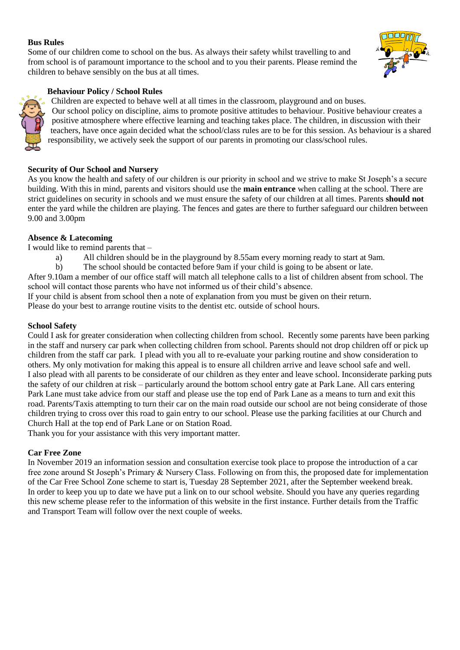## **Bus Rules**

Some of our children come to school on the bus. As always their safety whilst travelling to and from school is of paramount importance to the school and to you their parents. Please remind the children to behave sensibly on the bus at all times.



## **Behaviour Policy / School Rules**

Children are expected to behave well at all times in the classroom, playground and on buses. Our school policy on discipline, aims to promote positive attitudes to behaviour. Positive behaviour creates a positive atmosphere where effective learning and teaching takes place. The children, in discussion with their teachers, have once again decided what the school/class rules are to be for this session. As behaviour is a shared responsibility, we actively seek the support of our parents in promoting our class/school rules.

# **Security of Our School and Nursery**

As you know the health and safety of our children is our priority in school and we strive to make St Joseph's a secure building. With this in mind, parents and visitors should use the **main entrance** when calling at the school. There are strict guidelines on security in schools and we must ensure the safety of our children at all times. Parents **should not** enter the yard while the children are playing. The fences and gates are there to further safeguard our children between 9.00 and 3.00pm

## **Absence & Latecoming**

I would like to remind parents that –

- a) All children should be in the playground by 8.55am every morning ready to start at 9am.
- b) The school should be contacted before 9am if your child is going to be absent or late.

After 9.10am a member of our office staff will match all telephone calls to a list of children absent from school. The school will contact those parents who have not informed us of their child's absence.

If your child is absent from school then a note of explanation from you must be given on their return. Please do your best to arrange routine visits to the dentist etc. outside of school hours.

#### **School Safety**

Could I ask for greater consideration when collecting children from school. Recently some parents have been parking in the staff and nursery car park when collecting children from school. Parents should not drop children off or pick up children from the staff car park. I plead with you all to re-evaluate your parking routine and show consideration to others. My only motivation for making this appeal is to ensure all children arrive and leave school safe and well. I also plead with all parents to be considerate of our children as they enter and leave school. Inconsiderate parking puts the safety of our children at risk – particularly around the bottom school entry gate at Park Lane. All cars entering Park Lane must take advice from our staff and please use the top end of Park Lane as a means to turn and exit this road. Parents/Taxis attempting to turn their car on the main road outside our school are not being considerate of those children trying to cross over this road to gain entry to our school. Please use the parking facilities at our Church and Church Hall at the top end of Park Lane or on Station Road.

Thank you for your assistance with this very important matter.

## **Car Free Zone**

In November 2019 an information session and consultation exercise took place to propose the introduction of a car free zone around St Joseph's Primary & Nursery Class. Following on from this, the proposed date for implementation of the Car Free School Zone scheme to start is, Tuesday 28 September 2021, after the September weekend break. In order to keep you up to date we have put a link on to our school website. Should you have any queries regarding this new scheme please refer to the information of this website in the first instance. Further details from the Traffic and Transport Team will follow over the next couple of weeks.